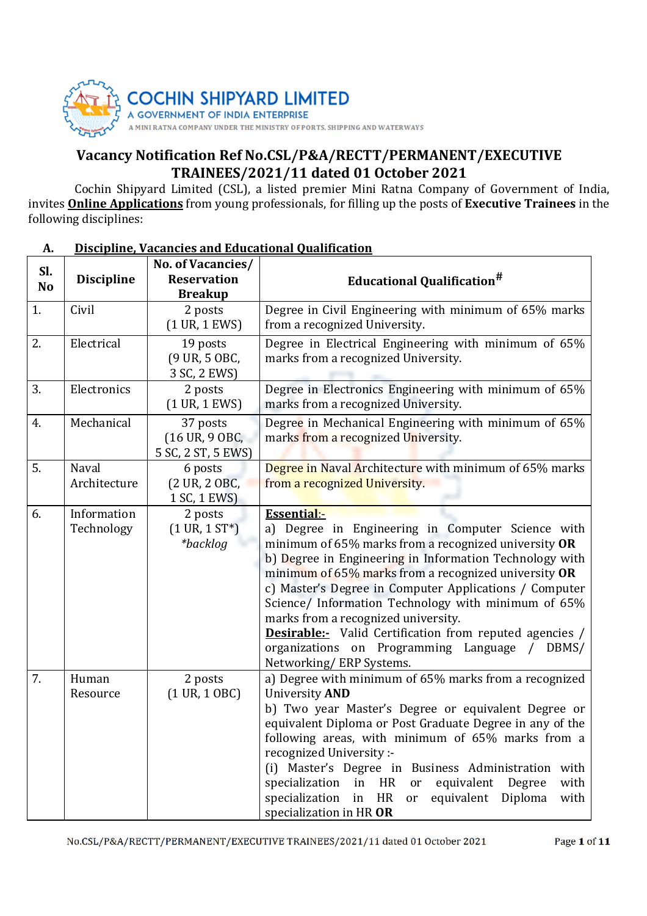

# Vacancy Notification Ref No.CSL/P&A/RECTT/PERMANENT/EXECUTIVE TRAINEES/2021/11 dated 01 October 2021

Cochin Shipyard Limited (CSL), a listed premier Mini Ratna Company of Government of India, invites Online Applications from young professionals, for filling up the posts of Executive Trainees in the following disciplines:

## A. Discipline, Vacancies and Educational Qualification

| Sl.<br>N <sub>o</sub> | <b>Discipline</b>         | No. of Vacancies/<br><b>Reservation</b><br><b>Breakup</b> | <b>Educational Qualification<sup>#</sup></b>                                                                                                                                                                                                                                                                                                                                                                                                                                                                                                                |
|-----------------------|---------------------------|-----------------------------------------------------------|-------------------------------------------------------------------------------------------------------------------------------------------------------------------------------------------------------------------------------------------------------------------------------------------------------------------------------------------------------------------------------------------------------------------------------------------------------------------------------------------------------------------------------------------------------------|
| 1.                    | Civil                     | 2 posts<br>$(1 \text{ UR}, 1 \text{ EWS})$                | Degree in Civil Engineering with minimum of 65% marks<br>from a recognized University.                                                                                                                                                                                                                                                                                                                                                                                                                                                                      |
| 2.                    | Electrical                | 19 posts<br>(9 UR, 5 OBC,<br>3 SC, 2 EWS)                 | Degree in Electrical Engineering with minimum of 65%<br>marks from a recognized University.                                                                                                                                                                                                                                                                                                                                                                                                                                                                 |
| 3.                    | Electronics               | 2 posts<br>$(1 \text{ UR}, 1 \text{ EWS})$                | Degree in Electronics Engineering with minimum of 65%<br>marks from a recognized University.                                                                                                                                                                                                                                                                                                                                                                                                                                                                |
| 4.                    | Mechanical                | 37 posts<br>(16 UR, 9 OBC,<br>5 SC, 2 ST, 5 EWS)          | Degree in Mechanical Engineering with minimum of 65%<br>marks from a recognized University.                                                                                                                                                                                                                                                                                                                                                                                                                                                                 |
| 5.                    | Naval<br>Architecture     | 6 posts<br>(2 UR, 2 OBC,<br>1 SC, 1 EWS)                  | Degree in Naval Architecture with minimum of 65% marks<br>from a recognized University.                                                                                                                                                                                                                                                                                                                                                                                                                                                                     |
| 6.                    | Information<br>Technology | 2 posts<br>$(1 \text{ UR}, 1 \text{ ST*})$<br>*backlog    | <b>Essential:-</b><br>a) Degree in Engineering in Computer Science with<br>minimum of 65% marks from a recognized university OR<br>b) Degree in Engineering in Information Technology with<br>minimum of 65% marks from a recognized university OR<br>c) Master's Degree in Computer Applications / Computer<br>Science/ Information Technology with minimum of 65%<br>marks from a recognized university.<br><b>Desirable:-</b> Valid Certification from reputed agencies /<br>organizations on Programming Language /<br>DBMS/<br>Networking/ERP Systems. |
| 7.                    | Human<br>Resource         | 2 posts<br>$(1 \text{ UR}, 1 \text{ OBC})$                | a) Degree with minimum of 65% marks from a recognized<br>University AND<br>b) Two year Master's Degree or equivalent Degree or<br>equivalent Diploma or Post Graduate Degree in any of the<br>following areas, with minimum of 65% marks from a<br>recognized University :-<br>(i) Master's Degree in Business Administration with<br>HR<br>specialization<br>in<br>equivalent<br>Degree<br>with<br><sub>or</sub><br>HR<br>specialization<br>in<br>equivalent<br>Diploma<br>with<br>or<br>specialization in HR OR                                           |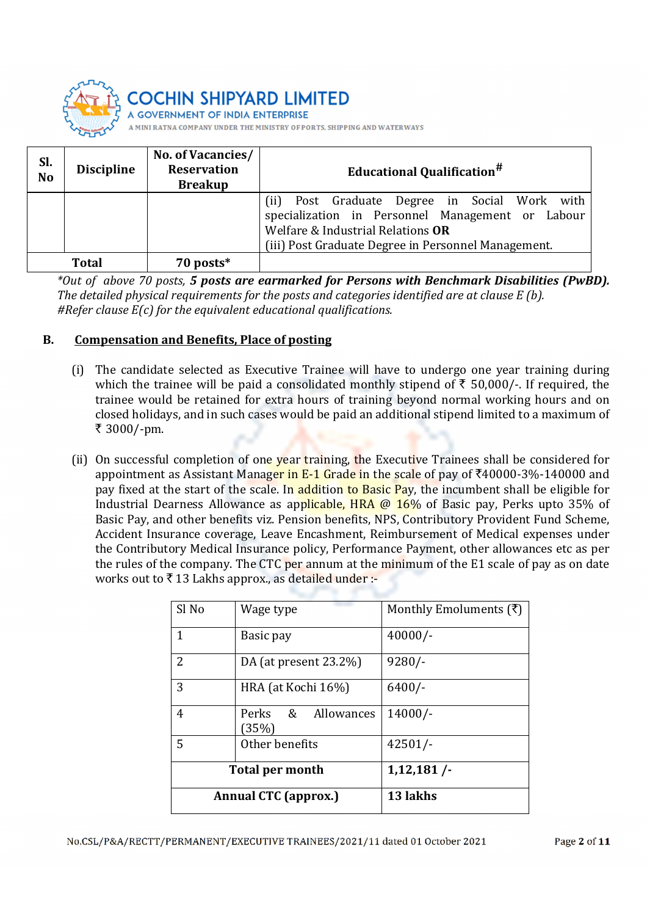

**IT OF INDIA ENTERPRISE** 

COMPANY UNDER THE MINISTRY OF PORTS, SHIPPING AND WATERWAYS

| Sl.<br>N <sub>o</sub> | <b>Discipline</b> | No. of Vacancies/<br><b>Reservation</b><br><b>Breakup</b> | <b>Educational Qualification<sup>#</sup></b>                                                                                                                                                     |
|-----------------------|-------------------|-----------------------------------------------------------|--------------------------------------------------------------------------------------------------------------------------------------------------------------------------------------------------|
|                       |                   |                                                           | Post Graduate Degree in Social Work with<br>(ii)<br>specialization in Personnel Management or Labour<br>Welfare & Industrial Relations OR<br>(iii) Post Graduate Degree in Personnel Management. |
|                       | Total             | 70 posts*                                                 |                                                                                                                                                                                                  |

\*Out of above 70 posts, 5 posts are earmarked for Persons with Benchmark Disabilities (PwBD). The detailed physical requirements for the posts and categories identified are at clause E (b). #Refer clause  $E(c)$  for the equivalent educational qualifications.

### B. Compensation and Benefits, Place of posting

- (i) The candidate selected as Executive Trainee will have to undergo one year training during which the trainee will be paid a consolidated monthly stipend of  $\bar{\tau}$  50,000/-. If required, the trainee would be retained for extra hours of training beyond normal working hours and on closed holidays, and in such cases would be paid an additional stipend limited to a maximum of ₹ 3000/-pm.
- (ii) On successful completion of one year training, the Executive Trainees shall be considered for appointment as Assistant Manager in E-1 Grade in the scale of pay of  $\overline{240000}$ -3%-140000 and pay fixed at the start of the scale. In addition to Basic Pay, the incumbent shall be eligible for Industrial Dearness Allowance as applicable, HRA @ 16% of Basic pay, Perks upto 35% of Basic Pay, and other benefits viz. Pension benefits, NPS, Contributory Provident Fund Scheme, Accident Insurance coverage, Leave Encashment, Reimbursement of Medical expenses under the Contributory Medical Insurance policy, Performance Payment, other allowances etc as per the rules of the company. The CTC per annum at the minimum of the E1 scale of pay as on date works out to  $\bar{\tau}$  13 Lakhs approx., as detailed under :-

| Sl No                       | Wage type                   | Monthly Emoluments $(\bar{\tau})$ |
|-----------------------------|-----------------------------|-----------------------------------|
| 1                           | Basic pay                   | $40000/-$                         |
| $\overline{2}$              | DA (at present $23.2\%$ )   | $9280/-$                          |
| 3                           | HRA (at Kochi 16%)          | $6400/-$                          |
| 4                           | Perks & Allowances<br>(35%) | $14000/-$                         |
| 5                           | Other benefits              | $42501/-$                         |
|                             | <b>Total per month</b>      | 1,12,181/                         |
| <b>Annual CTC (approx.)</b> |                             | 13 lakhs                          |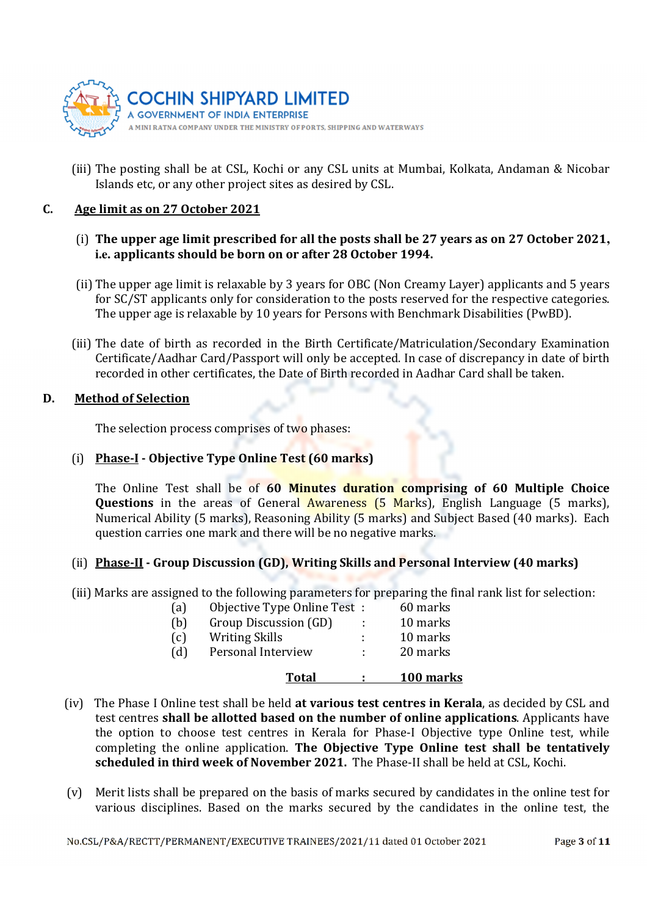

(iii) The posting shall be at CSL, Kochi or any CSL units at Mumbai, Kolkata, Andaman & Nicobar Islands etc, or any other project sites as desired by CSL.

#### C. Age limit as on 27 October 2021

- (i) The upper age limit prescribed for all the posts shall be 27 years as on 27 October 2021**, i.e.** applicants should be born on or after 28 October 1994.
- (ii) The upper age limit is relaxable by 3 years for OBC (Non Creamy Layer) applicants and 5 years for SC/ST applicants only for consideration to the posts reserved for the respective categories. The upper age is relaxable by 10 years for Persons with Benchmark Disabilities (PwBD).
- (iii) The date of birth as recorded in the Birth Certificate/Matriculation/Secondary Examination Certificate/Aadhar Card/Passport will only be accepted. In case of discrepancy in date of birth recorded in other certificates, the Date of Birth recorded in Aadhar Card shall be taken.

#### D. Method of Selection

The selection process comprises of two phases:

### (i) Phase-I - Objective Type Online Test (60 marks)

The Online Test shall be of 60 Minutes duration comprising of 60 Multiple Choice **Questions** in the areas of General Awareness (5 Marks), English Language (5 marks), Numerical Ability (5 marks), Reasoning Ability (5 marks) and Subject Based (40 marks). Each question carries one mark and there will be no negative marks.

#### (ii) Phase-II - Group Discussion (GD), Writing Skills and Personal Interview (40 marks)

(iii) Marks are assigned to the following parameters for preparing the final rank list for selection:

|     | Total                        |                    | 100 marks |
|-----|------------------------------|--------------------|-----------|
| (d) | Personal Interview           | <b>All Control</b> | 20 marks  |
| (c) | <b>Writing Skills</b>        |                    | 10 marks  |
| (b) | Group Discussion (GD)        |                    | 10 marks  |
| (a) | Objective Type Online Test : |                    | 60 marks  |

- (iv) The Phase I Online test shall be held at various test centres in Kerala, as decided by CSL and test centres shall be allotted based on the number of online applications. Applicants have the option to choose test centres in Kerala for Phase-I Objective type Online test, while completing the online application. The Objective Type Online test shall be tentatively scheduled in **third** week of November 2021. The Phase-II shall be held at CSL, Kochi.
- (v) Merit lists shall be prepared on the basis of marks secured by candidates in the online test for various disciplines. Based on the marks secured by the candidates in the online test, the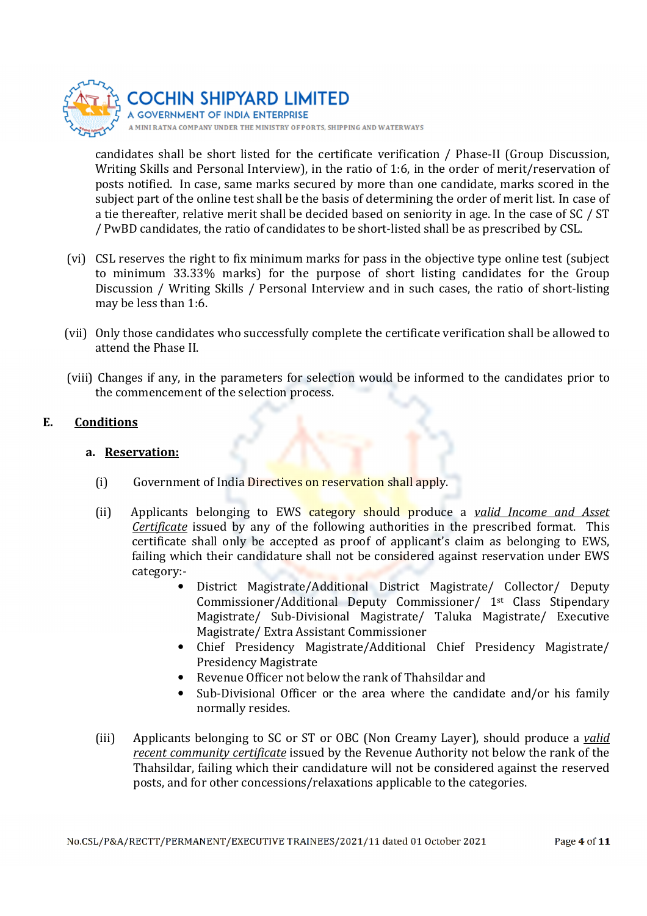

candidates shall be short listed for the certificate verification / Phase-II (Group Discussion, Writing Skills and Personal Interview), in the ratio of 1:6, in the order of merit/reservation of posts notified. In case, same marks secured by more than one candidate, marks scored in the subject part of the online test shall be the basis of determining the order of merit list. In case of a tie thereafter, relative merit shall be decided based on seniority in age. In the case of SC / ST / PwBD candidates, the ratio of candidates to be short-listed shall be as prescribed by CSL.

- (vi) CSL reserves the right to fix minimum marks for pass in the objective type online test (subject to minimum 33.33% marks) for the purpose of short listing candidates for the Group Discussion / Writing Skills / Personal Interview and in such cases, the ratio of short-listing may be less than 1:6.
- (vii) Only those candidates who successfully complete the certificate verification shall be allowed to attend the Phase II.
- (viii) Changes if any, in the parameters for selection would be informed to the candidates prior to the commencement of the selection process.

#### E. Conditions

### a. Reservation:

- (i) Government of India Directives on reservation shall apply.
- (ii) Applicants belonging to EWS category should produce a valid Income and Asset Certificate issued by any of the following authorities in the prescribed format. This certificate shall only be accepted as proof of applicant's claim as belonging to EWS, failing which their candidature shall not be considered against reservation under EWS category:-
	- District Magistrate/Additional District Magistrate/ Collector/ Deputy Commissioner/Additional Deputy Commissioner/ 1st Class Stipendary Magistrate/ Sub-Divisional Magistrate/ Taluka Magistrate/ Executive Magistrate/ Extra Assistant Commissioner
	- Chief Presidency Magistrate/Additional Chief Presidency Magistrate/ Presidency Magistrate
	- Revenue Officer not below the rank of Thahsildar and
	- Sub-Divisional Officer or the area where the candidate and/or his family normally resides.
- (iii) Applicants belonging to SC or ST or OBC (Non Creamy Layer), should produce a valid recent community certificate issued by the Revenue Authority not below the rank of the Thahsildar, failing which their candidature will not be considered against the reserved posts, and for other concessions/relaxations applicable to the categories.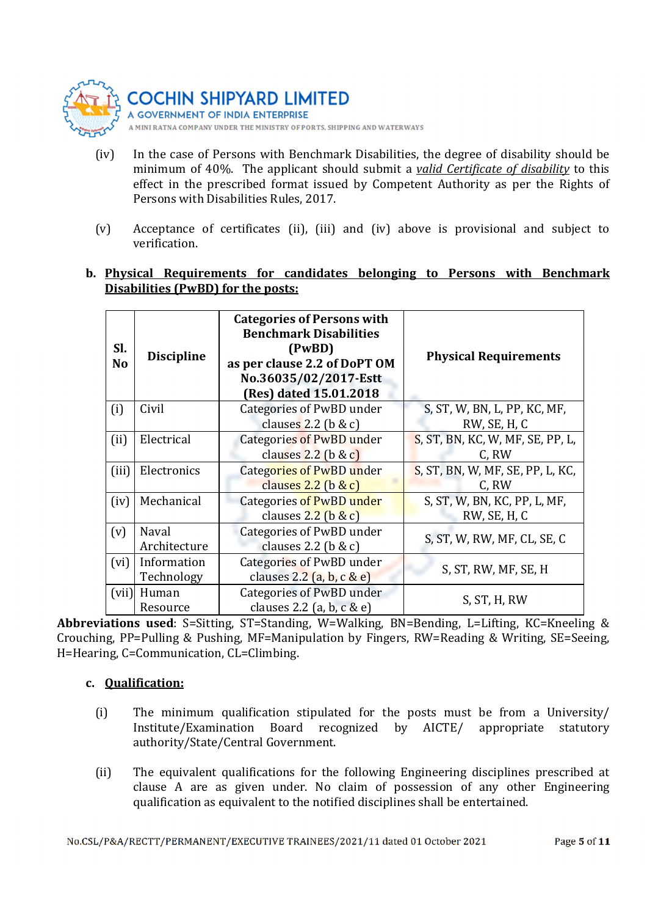

A GOVERNMENT OF INDIA ENTERPRISE A MINI RATNA COMPANY UNDER THE MINISTRY OF PORTS, SHIPPING AND WATERWAYS

- (iv) In the case of Persons with Benchmark Disabilities, the degree of disability should be minimum of 40%. The applicant should submit a valid Certificate of disability to this effect in the prescribed format issued by Competent Authority as per the Rights of Persons with Disabilities Rules, 2017.
- (v) Acceptance of certificates (ii), (iii) and (iv) above is provisional and subject to verification.

### b. Physical Requirements for candidates belonging to Persons with Benchmark Disabilities (PwBD) for the posts:

| Sl.<br>N <sub>o</sub> | <b>Discipline</b> | <b>Categories of Persons with</b><br><b>Benchmark Disabilities</b><br>(PwBD)<br>as per clause 2.2 of DoPT OM<br>No.36035/02/2017-Estt<br>(Res) dated 15.01.2018 | <b>Physical Requirements</b>     |  |
|-----------------------|-------------------|-----------------------------------------------------------------------------------------------------------------------------------------------------------------|----------------------------------|--|
| (i)                   | Civil             | Categories of PwBD under                                                                                                                                        | S, ST, W, BN, L, PP, KC, MF,     |  |
|                       |                   | clauses 2.2 ( $\frac{1}{2}$ & c)                                                                                                                                | RW, SE, H, C                     |  |
| (ii)                  | Electrical        | Categories of PwBD under                                                                                                                                        | S, ST, BN, KC, W, MF, SE, PP, L, |  |
|                       |                   | clauses $2.2$ (b & c)                                                                                                                                           | C, RW                            |  |
| (iii)                 | Electronics       | <b>Categories of PwBD under</b>                                                                                                                                 | S, ST, BN, W, MF, SE, PP, L, KC, |  |
|                       |                   | clauses $2.2$ (b & c)                                                                                                                                           | C, RW                            |  |
| (iv)                  | Mechanical        | Categories of PwBD under                                                                                                                                        | S, ST, W, BN, KC, PP, L, MF,     |  |
|                       |                   | clauses $2.2$ (b & c)                                                                                                                                           | RW, SE, H, C                     |  |
| (v)                   | Naval             | Categories of PwBD under                                                                                                                                        |                                  |  |
|                       | Architecture      | clauses 2.2 ( $\frac{1}{2}$ & c)                                                                                                                                | S, ST, W, RW, MF, CL, SE, C      |  |
| (vi)                  | Information       | Categories of PwBD under                                                                                                                                        |                                  |  |
|                       | Technology        | clauses $2.2$ (a, b, c & e)                                                                                                                                     | S, ST, RW, MF, SE, H             |  |
| (vii)                 | Human             | Categories of PwBD under                                                                                                                                        |                                  |  |
|                       | Resource          | clauses 2.2 (a, b, $c \& e$ )                                                                                                                                   | S, ST, H, RW                     |  |

Abbreviations used: S=Sitting, ST=Standing, W=Walking, BN=Bending, L=Lifting, KC=Kneeling & Crouching, PP=Pulling & Pushing, MF=Manipulation by Fingers, RW=Reading & Writing, SE=Seeing, H=Hearing, C=Communication, CL=Climbing.

### c. Qualification:

- (i) The minimum qualification stipulated for the posts must be from a University/ Institute/Examination Board recognized by AICTE/ appropriate statutory authority/State/Central Government.
- (ii) The equivalent qualifications for the following Engineering disciplines prescribed at clause A are as given under. No claim of possession of any other Engineering qualification as equivalent to the notified disciplines shall be entertained.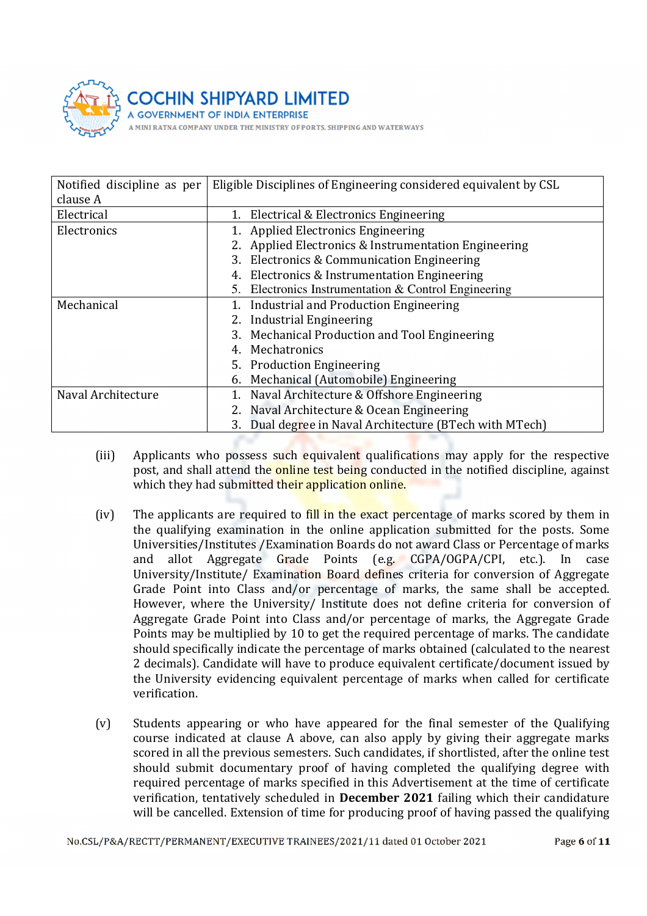

| Notified discipline as per | Eligible Disciplines of Engineering considered equivalent by CSL |
|----------------------------|------------------------------------------------------------------|
| clause A                   |                                                                  |
| Electrical                 | 1. Electrical & Electronics Engineering                          |
| Electronics                | <b>Applied Electronics Engineering</b>                           |
|                            | Applied Electronics & Instrumentation Engineering                |
|                            | 3. Electronics & Communication Engineering                       |
|                            | 4. Electronics & Instrumentation Engineering                     |
|                            | 5. Electronics Instrumentation & Control Engineering             |
| Mechanical                 | Industrial and Production Engineering                            |
|                            | 2. Industrial Engineering                                        |
|                            | 3. Mechanical Production and Tool Engineering                    |
|                            | 4. Mechatronics                                                  |
|                            | 5. Production Engineering                                        |
|                            | Mechanical (Automobile) Engineering                              |
| Naval Architecture         | Naval Architecture & Offshore Engineering                        |
|                            | 2. Naval Architecture & Ocean Engineering                        |
|                            | Dual degree in Naval Architecture (BTech with MTech)             |

- (iii) Applicants who possess such equivalent qualifications may apply for the respective post, and shall attend the online test being conducted in the notified discipline, against which they had submitted their application online.
- (iv) The applicants are required to fill in the exact percentage of marks scored by them in the qualifying examination in the online application submitted for the posts. Some Universities/Institutes /Examination Boards do not award Class or Percentage of marks and allot Aggregate Grade Points (e.g. CGPA/OGPA/CPI, etc.). In case University/Institute/ Examination Board defines criteria for conversion of Aggregate Grade Point into Class and/or percentage of marks, the same shall be accepted. However, where the University/ Institute does not define criteria for conversion of Aggregate Grade Point into Class and/or percentage of marks, the Aggregate Grade Points may be multiplied by 10 to get the required percentage of marks. The candidate should specifically indicate the percentage of marks obtained (calculated to the nearest 2 decimals). Candidate will have to produce equivalent certificate/document issued by the University evidencing equivalent percentage of marks when called for certificate verification.
- (v) Students appearing or who have appeared for the final semester of the Qualifying course indicated at clause A above, can also apply by giving their aggregate marks scored in all the previous semesters. Such candidates, if shortlisted, after the online test should submit documentary proof of having completed the qualifying degree with required percentage of marks specified in this Advertisement at the time of certificate verification, tentatively scheduled in December 2021 failing which their candidature will be cancelled. Extension of time for producing proof of having passed the qualifying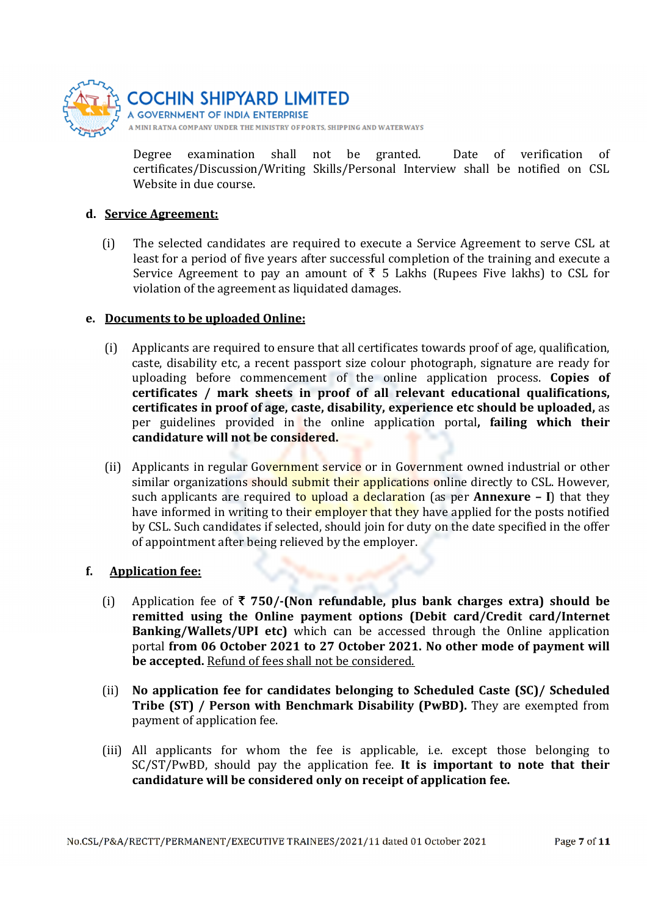

**GOVERNMENT OF INDIA ENTERPRISE** A MINI RATNA COMPANY UNDER THE MINISTRY OF PORTS, SHIPPING AND WATERWAYS

Degree examination shall not be granted. Date of verification of certificates/Discussion/Writing Skills/Personal Interview shall be notified on CSL Website in due course.

### d. Service Agreement:

(i) The selected candidates are required to execute a Service Agreement to serve CSL at least for a period of five years after successful completion of the training and execute a Service Agreement to pay an amount of  $\bar{\tau}$  5 Lakhs (Rupees Five lakhs) to CSL for violation of the agreement as liquidated damages.

### e. Documents to be uploaded Online:

- (i) Applicants are required to ensure that all certificates towards proof of age, qualification, caste, disability etc, a recent passport size colour photograph, signature are ready for uploading before commencement of the online application process. Copies of certificates / mark sheets in proof of all relevant educational qualifications, certificates in proof of age, caste, disability, experience etc should be uploaded, as per guidelines provided in the online application portal, failing which their candidature will not be considered.
- (ii) Applicants in regular Government service or in Government owned industrial or other similar organizations should submit their applications online directly to CSL. However, such applicants are required to upload a declaration (as per **Annexure** – I) that they have informed in writing to their employer that they have applied for the posts notified by CSL. Such candidates if selected, should join for duty on the date specified in the offer of appointment after being relieved by the employer.

### f. Application fee:

- (i) Application fee of  $\bar{\tau}$  750/-(Non refundable, plus bank charges extra) should be remitted using the Online payment options (Debit card/Credit card/Internet Banking/Wallets/UPI etc) which can be accessed through the Online application portal from 06 October 2021 to 27 October 2021. No other mode of payment will be accepted. Refund of fees shall not be considered.
- (ii) No application fee for candidates belonging to Scheduled Caste (SC)/ Scheduled Tribe (ST) / Person with Benchmark Disability (PwBD). They are exempted from payment of application fee.
- (iii) All applicants for whom the fee is applicable, i.e. except those belonging to SC/ST/PwBD, should pay the application fee. It is important to note that their candidature will be considered only on receipt of application fee.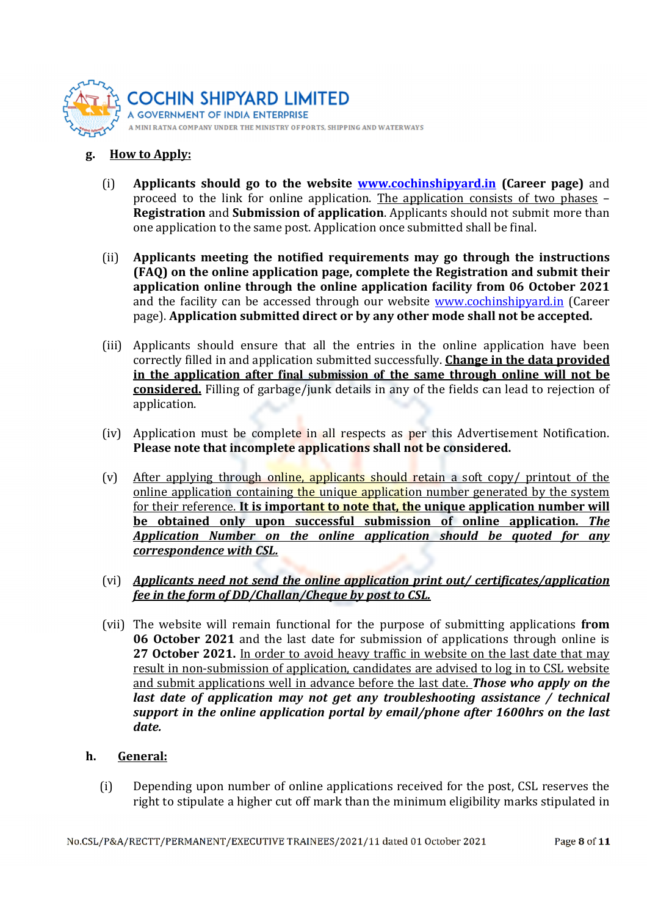

#### g. How to Apply:

- (i) Applicants should go to the website **www.cochinshipyard.in** (Career page) and proceed to the link for online application. The application consists of two phases – Registration and Submission of application. Applicants should not submit more than one application to the same post. Application once submitted shall be final.
- (ii) Applicants meeting the notified requirements may go through the instructions (FAQ) on the online application page, complete the Registration and submit their application online through the online application facility from 06 October 2021 and the facility can be accessed through our website www.cochinshipyard.in (Career page). Application submitted direct or by any other mode shall not be accepted.
- (iii) Applicants should ensure that all the entries in the online application have been correctly filled in and application submitted successfully. Change in the data provided in the application after **final submission of** the same through online will not be considered. Filling of garbage/junk details in any of the fields can lead to rejection of application.
- (iv) Application must be complete in all respects as per this Advertisement Notification. Please note that incomplete applications shall not be considered.
- (v) After applying through online, applicants should retain a soft copy/ printout of the online application containing the unique application number generated by the system for their reference. It is important to note that, the unique application number will be obtained only upon successful submission of online application. The Application Number on the online application should be quoted for any correspondence with CSL.
- (vi) Applicants need not send the online application print out/ certificates/application fee in the form of DD/Challan/Cheque by post to CSL.
- (vii) The website will remain functional for the purpose of submitting applications from 06 October 2021 and the last date for submission of applications through online is 27 October 2021. In order to avoid heavy traffic in website on the last date that may result in non-submission of application, candidates are advised to log in to CSL website and submit applications well in advance before the last date. **Those who apply on the** last date of application may not get any troubleshooting assistance / technical support in the online application portal by email/phone after 1600hrs on the last date.

#### h. General:

(i) Depending upon number of online applications received for the post, CSL reserves the right to stipulate a higher cut off mark than the minimum eligibility marks stipulated in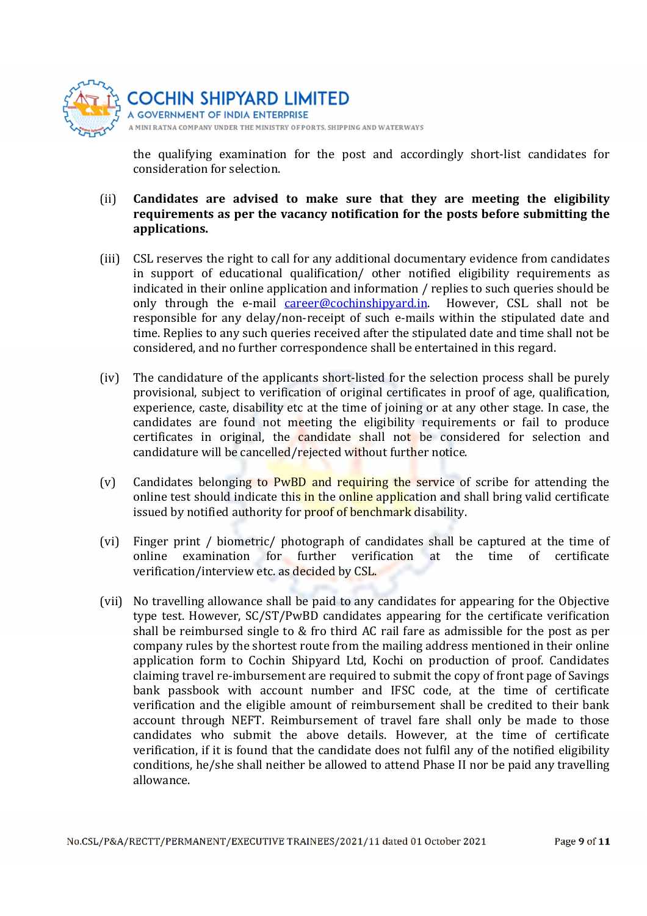

**GOVERNMENT OF INDIA ENTERPRISE** A MINI RATNA COMPANY UNDER THE MINISTRY OF PORTS, SHIPPING AND WATERWAYS

the qualifying examination for the post and accordingly short-list candidates for consideration for selection.

- (ii) Candidates are advised to make sure that they are meeting the eligibility requirements as per the vacancy notification for the posts before submitting the applications.
- (iii) CSL reserves the right to call for any additional documentary evidence from candidates in support of educational qualification/ other notified eligibility requirements as indicated in their online application and information / replies to such queries should be only through the e-mail *career@cochinshipyard.in*. However, CSL shall not be responsible for any delay/non-receipt of such e-mails within the stipulated date and time. Replies to any such queries received after the stipulated date and time shall not be considered, and no further correspondence shall be entertained in this regard.
- (iv) The candidature of the applicants short-listed for the selection process shall be purely provisional, subject to verification of original certificates in proof of age, qualification, experience, caste, disability etc at the time of joining or at any other stage. In case, the candidates are found not meeting the eligibility requirements or fail to produce certificates in original, the candidate shall not be considered for selection and candidature will be cancelled/rejected without further notice.
- (v) Candidates belonging to PwBD and requiring the service of scribe for attending the online test should indicate this in the online application and shall bring valid certificate issued by notified authority for **proof of benchmark** disability.
- (vi) Finger print / biometric/ photograph of candidates shall be captured at the time of online examination for further verification at the time of certificate verification/interview etc. as decided by CSL.
- (vii) No travelling allowance shall be paid to any candidates for appearing for the Objective type test. However, SC/ST/PwBD candidates appearing for the certificate verification shall be reimbursed single to & fro third AC rail fare as admissible for the post as per company rules by the shortest route from the mailing address mentioned in their online application form to Cochin Shipyard Ltd, Kochi on production of proof. Candidates claiming travel re-imbursement are required to submit the copy of front page of Savings bank passbook with account number and IFSC code, at the time of certificate verification and the eligible amount of reimbursement shall be credited to their bank account through NEFT. Reimbursement of travel fare shall only be made to those candidates who submit the above details. However, at the time of certificate verification, if it is found that the candidate does not fulfil any of the notified eligibility conditions, he/she shall neither be allowed to attend Phase II nor be paid any travelling allowance.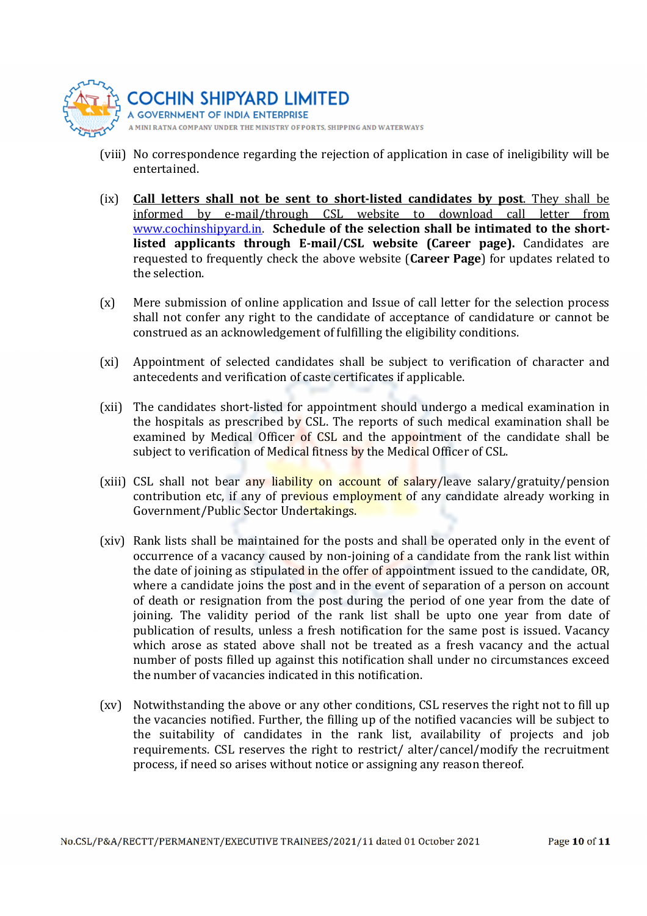

**GOVERNMENT OF INDIA ENTERPRISE** A MINI RATNA COMPANY UNDER THE MINISTRY OF PORTS, SHIPPING AND WATERWAYS

- (viii) No correspondence regarding the rejection of application in case of ineligibility will be entertained.
- (ix) Call letters shall not be sent to short-listed candidates by post. They shall be informed by e-mail/through CSL website to download call letter from www.cochinshipyard.in. Schedule of the selection shall be intimated to the shortlisted applicants through E-mail/CSL website (Career page). Candidates are requested to frequently check the above website (Career Page) for updates related to the selection.
- (x) Mere submission of online application and Issue of call letter for the selection process shall not confer any right to the candidate of acceptance of candidature or cannot be construed as an acknowledgement of fulfilling the eligibility conditions.
- (xi) Appointment of selected candidates shall be subject to verification of character and antecedents and verification of caste certificates if applicable.
- (xii) The candidates short-listed for appointment should undergo a medical examination in the hospitals as prescribed by CSL. The reports of such medical examination shall be examined by Medical Officer of CSL and the appointment of the candidate shall be subject to verification of Medical fitness by the Medical Officer of CSL.
- (xiii) CSL shall not bear any liability on account of salary/leave salary/gratuity/pension contribution etc, if any of previous employment of any candidate already working in Government/Public Sector Undertakings.
- (xiv) Rank lists shall be maintained for the posts and shall be operated only in the event of occurrence of a vacancy caused by non-joining of a candidate from the rank list within the date of joining as stipulated in the offer of appointment issued to the candidate, OR, where a candidate joins the post and in the event of separation of a person on account of death or resignation from the post during the period of one year from the date of joining. The validity period of the rank list shall be upto one year from date of publication of results, unless a fresh notification for the same post is issued. Vacancy which arose as stated above shall not be treated as a fresh vacancy and the actual number of posts filled up against this notification shall under no circumstances exceed the number of vacancies indicated in this notification.
- (xv) Notwithstanding the above or any other conditions, CSL reserves the right not to fill up the vacancies notified. Further, the filling up of the notified vacancies will be subject to the suitability of candidates in the rank list, availability of projects and job requirements. CSL reserves the right to restrict/ alter/cancel/modify the recruitment process, if need so arises without notice or assigning any reason thereof.